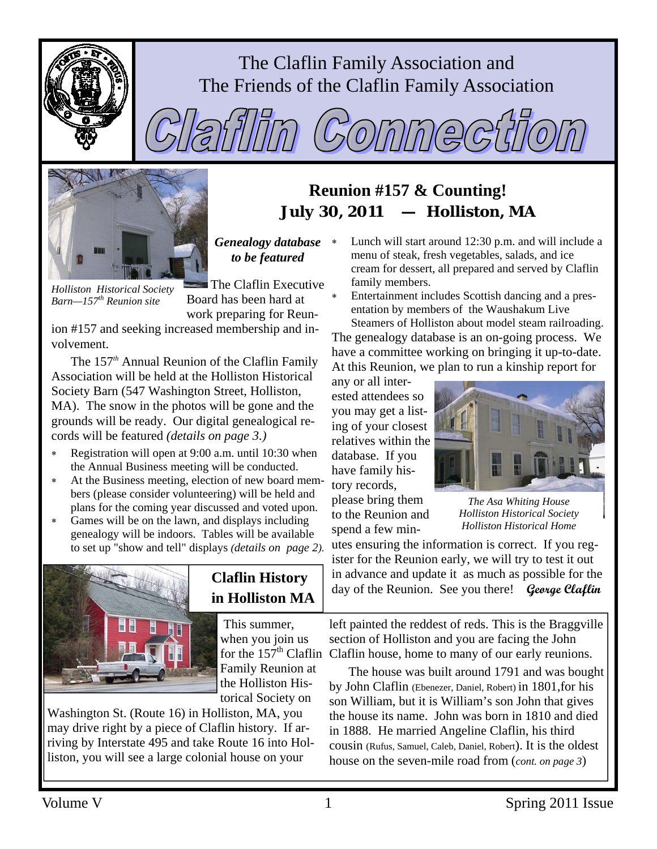

# The Claflin Family Association and The Friends of the Claflin Family Association



 $\mathcal{C}_2(0)$  $\left(\frac{\Delta}{\sigma}\right)$ 

# **Reunion #157 & Counting!**  *July 30, 2011 — Holliston, MA*

*Genealogy database to be featured* 

*Holliston Historical Society Barn—157th Reunion site* 

The Claflin Executive Board has been hard at work preparing for Reun-

ion #157 and seeking increased membership and involvement.

The 157*th* Annual Reunion of the Claflin Family Association will be held at the Holliston Historical Society Barn (547 Washington Street, Holliston, MA). The snow in the photos will be gone and the grounds will be ready. Our digital genealogical records will be featured *(details on page 3.)* 

- Registration will open at 9:00 a.m. until 10:30 when the Annual Business meeting will be conducted.
- At the Business meeting, election of new board members (please consider volunteering) will be held and plans for the coming year discussed and voted upon.
- Games will be on the lawn, and displays including genealogy will be indoors. Tables will be available to set up "show and tell" displays *(details on page 2).*



# **Claflin History in Holliston MA**

 This summer, when you join us Family Reunion at the Holliston Historical Society on

Washington St. (Route 16) in Holliston, MA, you may drive right by a piece of Claflin history. If arriving by Interstate 495 and take Route 16 into Holliston, you will see a large colonial house on your

Lunch will start around 12:30 p.m. and will include a menu of steak, fresh vegetables, salads, and ice cream for dessert, all prepared and served by Claflin family members.

Entertainment includes Scottish dancing and a presentation by members of the Waushakum Live

Steamers of Holliston about model steam railroading. The genealogy database is an on-going process. We have a committee working on bringing it up-to-date. At this Reunion, we plan to run a kinship report for

any or all interested attendees so you may get a listing of your closest relatives within the database. If you have family history records, please bring them

to the Reunion and spend a few min-



*The Asa Whiting House Holliston Historical Society Holliston Historical Home* 

utes ensuring the information is correct. If you register for the Reunion early, we will try to test it out in advance and update it as much as possible for the day of the Reunion. See you there! **George Claflin** 

for the  $157<sup>th</sup>$  Claflin Claflin house, home to many of our early reunions. left painted the reddest of reds. This is the Braggville section of Holliston and you are facing the John

> The house was built around 1791 and was bought by John Claflin (Ebenezer, Daniel, Robert) in 1801,for his son William, but it is William's son John that gives the house its name. John was born in 1810 and died in 1888. He married Angeline Claflin, his third cousin (Rufus, Samuel, Caleb, Daniel, Robert). It is the oldest house on the seven-mile road from (*cont. on page 3*)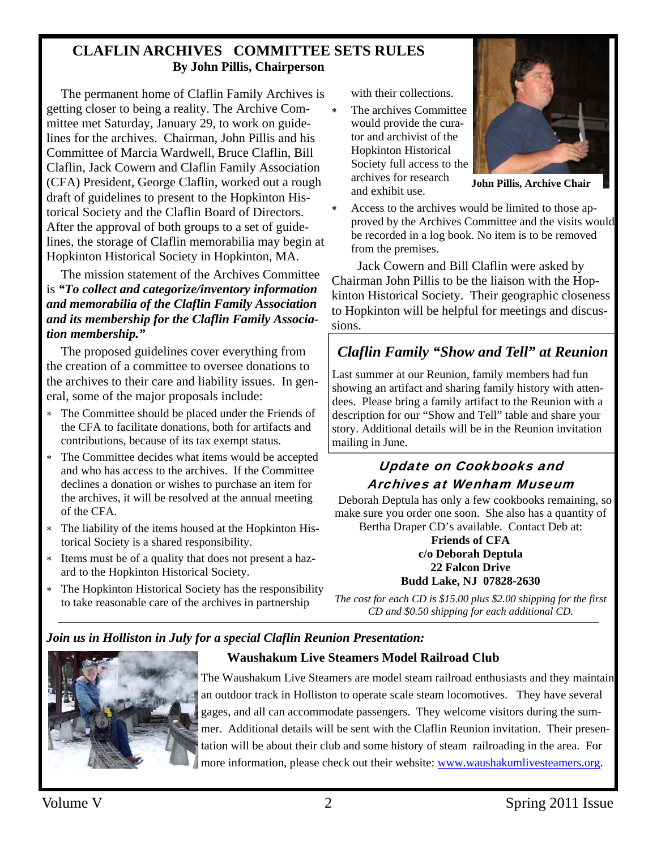### **CLAFLIN ARCHIVES COMMITTEE SETS RULES By John Pillis, Chairperson**

The permanent home of Claflin Family Archives is getting closer to being a reality. The Archive Committee met Saturday, January 29, to work on guidelines for the archives. Chairman, John Pillis and his Committee of Marcia Wardwell, Bruce Claflin, Bill Claflin, Jack Cowern and Claflin Family Association (CFA) President, George Claflin, worked out a rough draft of guidelines to present to the Hopkinton Historical Society and the Claflin Board of Directors. After the approval of both groups to a set of guidelines, the storage of Claflin memorabilia may begin at Hopkinton Historical Society in Hopkinton, MA.

The mission statement of the Archives Committee is *"To collect and categorize/inventory information and memorabilia of the Claflin Family Association and its membership for the Claflin Family Association membership."* 

The proposed guidelines cover everything from the creation of a committee to oversee donations to the archives to their care and liability issues. In general, some of the major proposals include:

- ∗ The Committee should be placed under the Friends of the CFA to facilitate donations, both for artifacts and contributions, because of its tax exempt status.
- ∗ The Committee decides what items would be accepted and who has access to the archives. If the Committee declines a donation or wishes to purchase an item for the archives, it will be resolved at the annual meeting of the CFA.
- The liability of the items housed at the Hopkinton Historical Society is a shared responsibility.
- ∗ Items must be of a quality that does not present a hazard to the Hopkinton Historical Society.
- The Hopkinton Historical Society has the responsibility to take reasonable care of the archives in partnership

with their collections.

∗ The archives Committee would provide the curator and archivist of the Hopkinton Historical Society full access to the archives for research and exhibit use.



**John Pillis, Archive Chair** 

Access to the archives would be limited to those approved by the Archives Committee and the visits would be recorded in a log book. No item is to be removed from the premises.

 Jack Cowern and Bill Claflin were asked by Chairman John Pillis to be the liaison with the Hopkinton Historical Society. Their geographic closeness to Hopkinton will be helpful for meetings and discussions.

# *Claflin Family "Show and Tell" at Reunion*

Last summer at our Reunion, family members had fun showing an artifact and sharing family history with attendees. Please bring a family artifact to the Reunion with a description for our "Show and Tell" table and share your story. Additional details will be in the Reunion invitation mailing in June.

### Update on Cookbooks and Archives at Wenham Museum

 Deborah Deptula has only a few cookbooks remaining, so make sure you order one soon. She also has a quantity of Bertha Draper CD's available. Contact Deb at:

#### **Friends of CFA c/o Deborah Deptula 22 Falcon Drive Budd Lake, NJ 07828-2630**

*The cost for each CD is \$15.00 plus \$2.00 shipping for the first CD and \$0.50 shipping for each additional CD.*

### *Join us in Holliston in July for a special Claflin Reunion Presentation:*



The Waushakum Live Steamers are model steam railroad enthusiasts and they maintain an outdoor track in Holliston to operate scale steam locomotives. They have several gages, and all can accommodate passengers. They welcome visitors during the summer. Additional details will be sent with the Claflin Reunion invitation. Their presentation will be about their club and some history of steam railroading in the area. For more information, please check out their website: www.waushakumlivesteamers.org.

 **Waushakum Live Steamers Model Railroad Club**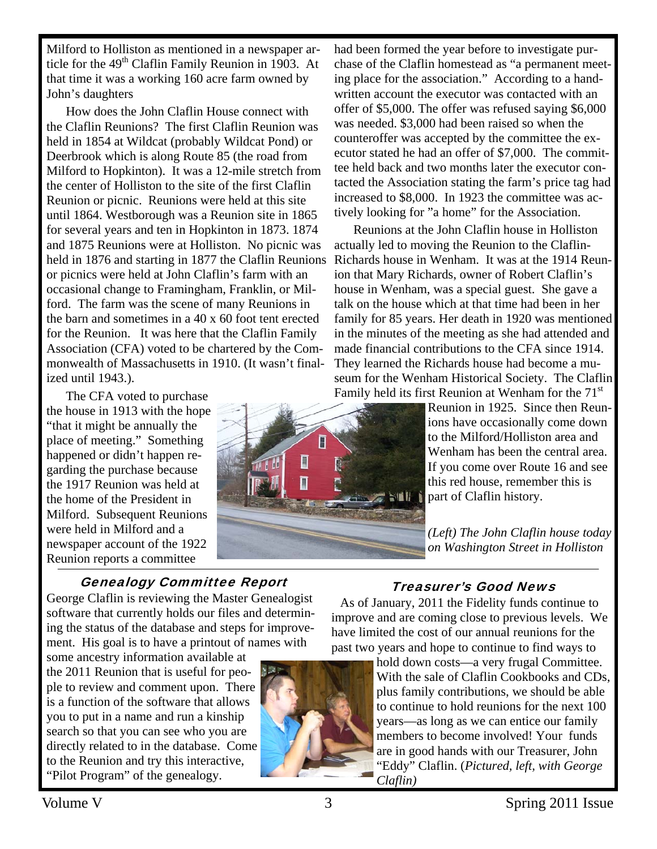Milford to Holliston as mentioned in a newspaper article for the  $49<sup>th</sup>$  Claflin Family Reunion in 1903. At that time it was a working 160 acre farm owned by John's daughters

How does the John Claflin House connect with the Claflin Reunions? The first Claflin Reunion was held in 1854 at Wildcat (probably Wildcat Pond) or Deerbrook which is along Route 85 (the road from Milford to Hopkinton). It was a 12-mile stretch from the center of Holliston to the site of the first Claflin Reunion or picnic. Reunions were held at this site until 1864. Westborough was a Reunion site in 1865 for several years and ten in Hopkinton in 1873. 1874 and 1875 Reunions were at Holliston. No picnic was held in 1876 and starting in 1877 the Claflin Reunions or picnics were held at John Claflin's farm with an occasional change to Framingham, Franklin, or Milford. The farm was the scene of many Reunions in the barn and sometimes in a 40 x 60 foot tent erected for the Reunion. It was here that the Claflin Family Association (CFA) voted to be chartered by the Commonwealth of Massachusetts in 1910. (It wasn't finalized until 1943.).

The CFA voted to purchase the house in 1913 with the hope "that it might be annually the place of meeting." Something happened or didn't happen regarding the purchase because the 1917 Reunion was held at the home of the President in Milford. Subsequent Reunions were held in Milford and a newspaper account of the 1922 Reunion reports a committee

### Genealogy Committee Report

George Claflin is reviewing the Master Genealogist software that currently holds our files and determining the status of the database and steps for improvement. His goal is to have a printout of names with

some ancestry information available at the 2011 Reunion that is useful for people to review and comment upon. There is a function of the software that allows you to put in a name and run a kinship search so that you can see who you are directly related to in the database. Come to the Reunion and try this interactive, "Pilot Program" of the genealogy.



F

▣

had been formed the year before to investigate purchase of the Claflin homestead as "a permanent meeting place for the association." According to a handwritten account the executor was contacted with an offer of \$5,000. The offer was refused saying \$6,000 was needed. \$3,000 had been raised so when the counteroffer was accepted by the committee the executor stated he had an offer of \$7,000. The committee held back and two months later the executor contacted the Association stating the farm's price tag had increased to \$8,000. In 1923 the committee was actively looking for "a home" for the Association.

Reunions at the John Claflin house in Holliston actually led to moving the Reunion to the Claflin-Richards house in Wenham. It was at the 1914 Reunion that Mary Richards, owner of Robert Claflin's house in Wenham, was a special guest. She gave a talk on the house which at that time had been in her family for 85 years. Her death in 1920 was mentioned in the minutes of the meeting as she had attended and made financial contributions to the CFA since 1914. They learned the Richards house had become a museum for the Wenham Historical Society. The Claflin Family held its first Reunion at Wenham for the  $71<sup>st</sup>$ 

Reunion in 1925. Since then Reunions have occasionally come down to the Milford/Holliston area and Wenham has been the central area. If you come over Route 16 and see this red house, remember this is part of Claflin history.

*(Left) The John Claflin house today on Washington Street in Holliston* 

# Treasurer's Good News

 As of January, 2011 the Fidelity funds continue to improve and are coming close to previous levels. We have limited the cost of our annual reunions for the past two years and hope to continue to find ways to

> hold down costs—a very frugal Committee. With the sale of Claflin Cookbooks and CDs, plus family contributions, we should be able to continue to hold reunions for the next 100 years—as long as we can entice our family members to become involved! Your funds are in good hands with our Treasurer, John "Eddy" Claflin. (*Pictured, left, with George Claflin)*